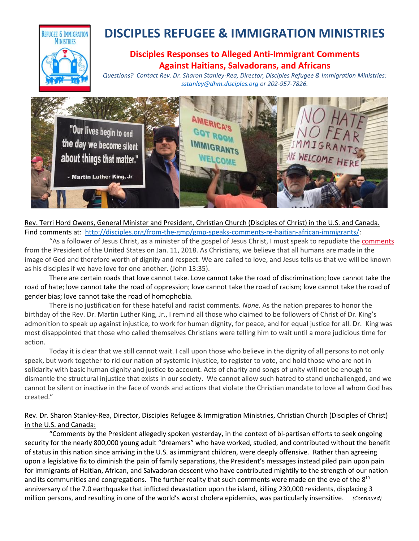

# **DISCIPLES REFUGEE & IMMIGRATION MINISTRIES**

# **Disciples Responses to Alleged Anti-Immigrant Comments Against Haitians, Salvadorans, and Africans**

*Questions? Contact Rev. Dr. Sharon Stanley-Rea, Director, Disciples Refugee & Immigration Ministries: [sstanley@dhm.disciples.org](mailto:sstanley@dhm.disciples.org) or 202-957-7826.*



Rev. Terri Hord Owens, General Minister and President, Christian Church (Disciples of Christ) in the U.S. and Canada. Find comments at: [http://disciples.org/from-the-gmp/gmp-speaks-comments-re-haitian-african-immigrants/:](http://disciples.org/from-the-gmp/gmp-speaks-comments-re-haitian-african-immigrants/)

"As a follower of Jesus Christ, as a minister of the gospel of Jesus Christ, I must speak to repudiate th[e comments](https://www.nytimes.com/2018/01/11/us/politics/trump-shithole-countries.html) from the President of the United States on Jan. 11, 2018. As Christians, we believe that all humans are made in the image of God and therefore worth of dignity and respect. We are called to love, and Jesus tells us that we will be known as his disciples if we have love for one another. (John 13:35).

There are certain roads that love cannot take. Love cannot take the road of discrimination; love cannot take the road of hate; love cannot take the road of oppression; love cannot take the road of racism; love cannot take the road of gender bias; love cannot take the road of homophobia.

There is no justification for these hateful and racist comments. *None*. As the nation prepares to honor the birthday of the Rev. Dr. Martin Luther King, Jr., I remind all those who claimed to be followers of Christ of Dr. King's admonition to speak up against injustice, to work for human dignity, for peace, and for equal justice for all. Dr. King was most disappointed that those who called themselves Christians were telling him to wait until a more judicious time for action.

Today it is clear that we still cannot wait. I call upon those who believe in the dignity of all persons to not only speak, but work together to rid our nation of systemic injustice, to register to vote, and hold those who are not in solidarity with basic human dignity and justice to account. Acts of charity and songs of unity will not be enough to dismantle the structural injustice that exists in our society. We cannot allow such hatred to stand unchallenged, and we cannot be silent or inactive in the face of words and actions that violate the Christian mandate to love all whom God has created."

## Rev. Dr. Sharon Stanley-Rea, Director, Disciples Refugee & Immigration Ministries, Christian Church (Disciples of Christ) in the U.S. and Canada:

"Comments by the President allegedly spoken yesterday, in the context of bi-partisan efforts to seek ongoing security for the nearly 800,000 young adult "dreamers" who have worked, studied, and contributed without the benefit of status in this nation since arriving in the U.S. as immigrant children, were deeply offensive. Rather than agreeing upon a legislative fix to diminish the pain of family separations, the President's messages instead piled pain upon pain for immigrants of Haitian, African, and Salvadoran descent who have contributed mightily to the strength of our nation and its communities and congregations. The further reality that such comments were made on the eve of the 8<sup>th</sup> anniversary of the 7.0 earthquake that inflicted devastation upon the island, killing 230,000 residents, displacing 3 million persons, and resulting in one of the world's worst cholera epidemics, was particularly insensitive. *(Continued)*